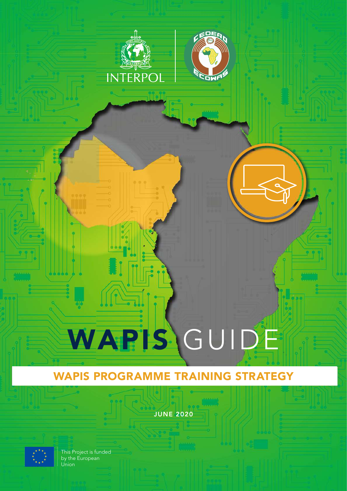

# WAPIS PROGRAMME TRAINING STRATEGY

JUNE 2020



This Project is funded by the European Union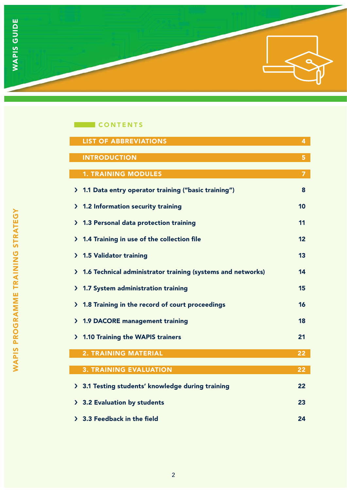

# **CONTENTS**

| <b>LIST OF ABBREVIATIONS</b>                                                 | 4              |
|------------------------------------------------------------------------------|----------------|
| <b>INTRODUCTION</b>                                                          | 5              |
| <b>1. TRAINING MODULES</b>                                                   | $\overline{7}$ |
|                                                                              |                |
| 1.1 Data entry operator training ("basic training")<br>$\mathcal{F}$         | 8              |
| 1.2 Information security training<br>⋗                                       | 10             |
| 1.3 Personal data protection training<br>$\mathbf{\Sigma}$                   | 11             |
| 1.4 Training in use of the collection file<br>$\mathbf{\Sigma}$              | 12             |
| <b>1.5 Validator training</b><br>$\mathcal{F}$                               | 13             |
| 1.6 Technical administrator training (systems and networks)<br>$\mathcal{F}$ | 14             |
| 1.7 System administration training<br>$\mathcal{F}$                          | 15             |
| 1.8 Training in the record of court proceedings<br>$\mathcal Y$              | 16             |
| <b>1.9 DACORE management training</b><br>$\mathbf{\Sigma}$                   | 18             |
| 1.10 Training the WAPIS trainers<br>$\sum$                                   | 21             |
| <b>2. TRAINING MATERIAL</b>                                                  | 22             |
|                                                                              |                |
| <b>3. TRAINING EVALUATION</b>                                                | 22             |
| 3.1 Testing students' knowledge during training<br>$\sum$                    | 22             |
| 3.2 Evaluation by students<br>$\sum$                                         | 23             |
| > 3.3 Feedback in the field                                                  | 24             |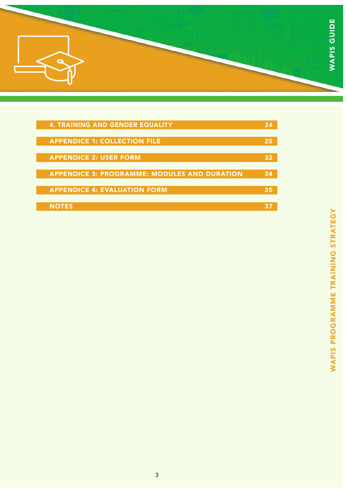

| <b>4. TRAINING AND GENDER EQUALITY</b>              |    |
|-----------------------------------------------------|----|
|                                                     |    |
| <b>APPENDICE 1: COLLECTION FILE</b>                 | 25 |
|                                                     |    |
| <b>APPENDICE 2: USER FORM</b>                       |    |
|                                                     |    |
| <b>APPENDICE 3: PROGRAMME: MODULES AND DURATION</b> |    |
|                                                     |    |
| <b>APPENDICE 4: EVALUATION FORM</b>                 |    |
|                                                     |    |
| <b>NOTES</b>                                        |    |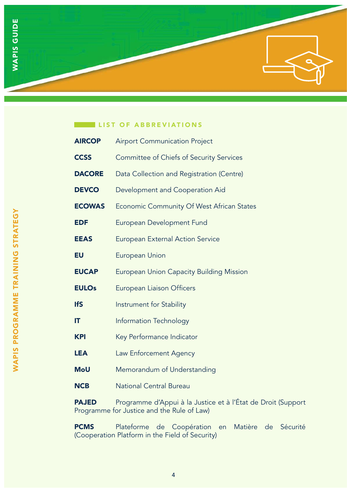

### LIST OF ABBREVIATIONS

| <b>AIRCOP</b> | <b>Airport Communication Project</b>             |
|---------------|--------------------------------------------------|
| <b>CCSS</b>   | <b>Committee of Chiefs of Security Services</b>  |
| <b>DACORE</b> | Data Collection and Registration (Centre)        |
| <b>DEVCO</b>  | Development and Cooperation Aid                  |
| <b>ECOWAS</b> | <b>Economic Community Of West African States</b> |
| <b>EDF</b>    | <b>European Development Fund</b>                 |
| <b>EEAS</b>   | <b>European External Action Service</b>          |
| <b>EU</b>     | <b>European Union</b>                            |
| <b>EUCAP</b>  | <b>European Union Capacity Building Mission</b>  |
| <b>EULOs</b>  | <b>European Liaison Officers</b>                 |
| <b>IfS</b>    | Instrument for Stability                         |
| IT            | Information Technology                           |
| <b>KPI</b>    | Key Performance Indicator                        |
| <b>LEA</b>    | Law Enforcement Agency                           |
| <b>MoU</b>    | Memorandum of Understanding                      |
| <b>NCB</b>    | <b>National Central Bureau</b>                   |

PAJED Programme d'Appui à la Justice et à l'État de Droit (Support Programme for Justice and the Rule of Law)

PCMS Plateforme de Coopération en Matière de Sécurité (Cooperation Platform in the Field of Security)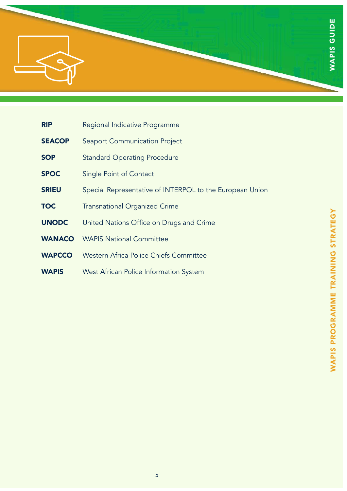

- **RIP** Regional Indicative Programme
- **SEACOP** Seaport Communication Project
- **SOP** Standard Operating Procedure
- **SPOC** Single Point of Contact
- **SRIEU** Special Representative of INTERPOL to the European Union
- **TOC** Transnational Organized Crime
- UNODC United Nations Office on Drugs and Crime
- WANACO WAPIS National Committee
- WAPCCO Western Africa Police Chiefs Committee
- WAPIS West African Police Information System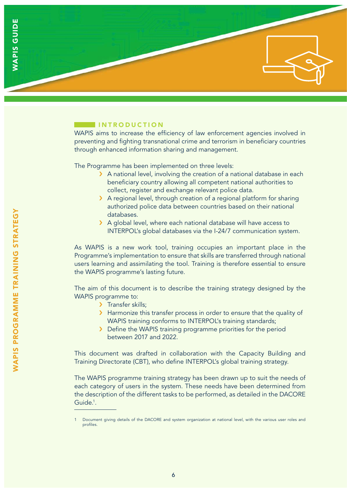### **INTRODUCTION**

WAPIS aims to increase the efficiency of law enforcement agencies involved in preventing and fighting transnational crime and terrorism in beneficiary countries through enhanced information sharing and management.

The Programme has been implemented on three levels:

- > A national level, involving the creation of a national database in each beneficiary country allowing all competent national authorities to collect, register and exchange relevant police data.
- > A regional level, through creation of a regional platform for sharing authorized police data between countries based on their national databases.
- > A global level, where each national database will have access to INTERPOL's global databases via the I-24/7 communication system.

As WAPIS is a new work tool, training occupies an important place in the Programme's implementation to ensure that skills are transferred through national users learning and assimilating the tool. Training is therefore essential to ensure the WAPIS programme's lasting future.

The aim of this document is to describe the training strategy designed by the WAPIS programme to:

- > Transfer skills;
- > Harmonize this transfer process in order to ensure that the quality of WAPIS training conforms to INTERPOL's training standards;
- › Define the WAPIS training programme priorities for the period between 2017 and 2022.

This document was drafted in collaboration with the Capacity Building and Training Directorate (CBT), who define INTERPOL's global training strategy.

The WAPIS programme training strategy has been drawn up to suit the needs of each category of users in the system. These needs have been determined from the description of the different tasks to be performed, as detailed in the DACORE Guide.<sup>1</sup>.

Document giving details of the DACORE and system organization at national level, with the various user roles and profiles.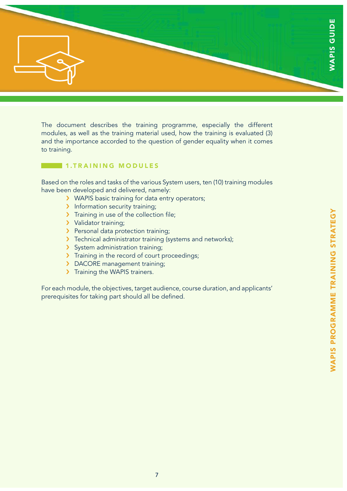

The document describes the training programme, especially the different modules, as well as the training material used, how the training is evaluated (3) and the importance accorded to the question of gender equality when it comes to training.

# 1.TRAINING MODULES

Based on the roles and tasks of the various System users, ten (10) training modules have been developed and delivered, namely:

- › WAPIS basic training for data entry operators;
- > Information security training;
- > Training in use of the collection file;
- > Validator training;
- > Personal data protection training;
- > Technical administrator training (systems and networks);
- › System administration training;
- > Training in the record of court proceedings;
- > DACORE management training;
- > Training the WAPIS trainers.

For each module, the objectives, target audience, course duration, and applicants' prerequisites for taking part should all be defined.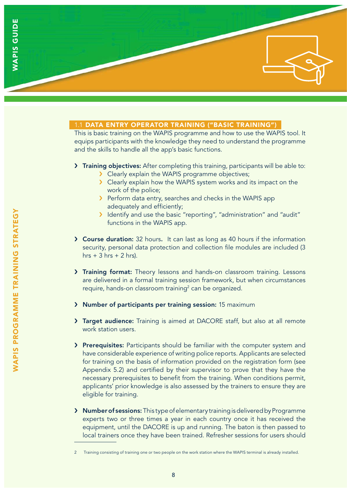# 1.1 DATA ENTRY OPERATOR TRAINING ("BASIC TRAINING")

This is basic training on the WAPIS programme and how to use the WAPIS tool. It equips participants with the knowledge they need to understand the programme and the skills to handle all the app's basic functions.

### › Training objectives: After completing this training, participants will be able to:

- › Clearly explain the WAPIS programme objectives;
- › Clearly explain how the WAPIS system works and its impact on the work of the police;
- › Perform data entry, searches and checks in the WAPIS app adequately and efficiently;
- › Identify and use the basic "reporting", "administration" and "audit" functions in the WAPIS app.
- › Course duration: 32 hours. It can last as long as 40 hours if the information security, personal data protection and collection file modules are included (3 hrs  $+3$  hrs  $+2$  hrs).
- › Training format: Theory lessons and hands-on classroom training. Lessons are delivered in a formal training session framework, but when circumstances require, hands-on classroom training<sup>2</sup> can be organized.
- › Number of participants per training session: 15 maximum
- › Target audience: Training is aimed at DACORE staff, but also at all remote work station users.
- > Prerequisites: Participants should be familiar with the computer system and have considerable experience of writing police reports. Applicants are selected for training on the basis of information provided on the registration form (see Appendix 5.2) and certified by their supervisor to prove that they have the necessary prerequisites to benefit from the training. When conditions permit, applicants' prior knowledge is also assessed by the trainers to ensure they are eligible for training.
- › Number of sessions: This type of elementary training is delivered by Programme experts two or three times a year in each country once it has received the equipment, until the DACORE is up and running. The baton is then passed to local trainers once they have been trained. Refresher sessions for users should

<sup>2</sup> Training consisting of training one or two people on the work station where the WAPIS terminal is already installed.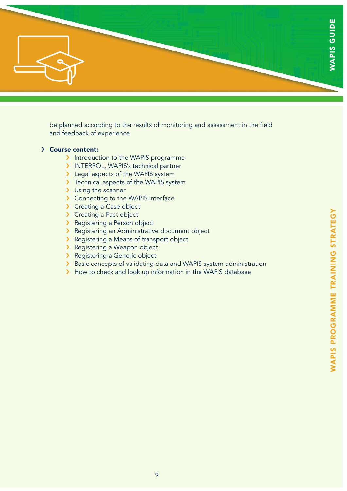

be planned according to the results of monitoring and assessment in the field and feedback of experience.

### › Course content:

- > Introduction to the WAPIS programme
- › INTERPOL, WAPIS's technical partner
- > Legal aspects of the WAPIS system
- > Technical aspects of the WAPIS system
- > Using the scanner
- › Connecting to the WAPIS interface
- > Creating a Case object
- > Creating a Fact object
- › Registering a Person object
- › Registering an Administrative document object
- › Registering a Means of transport object
- › Registering a Weapon object
- › Registering a Generic object
- > Basic concepts of validating data and WAPIS system administration
- > How to check and look up information in the WAPIS database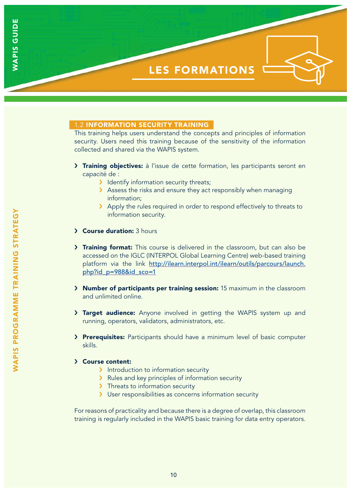

### 1.2 INFORMATION SECURITY TRAINING

This training helps users understand the concepts and principles of information security. Users need this training because of the sensitivity of the information collected and shared via the WAPIS system.

- > Training objectives: à l'issue de cette formation, les participants seront en capacité de :
	- **I** Identify information security threats;
	- > Assess the risks and ensure they act responsibly when managing information;
	- › Apply the rules required in order to respond effectively to threats to information security.
- › Course duration: 3 hours
- > Training format: This course is delivered in the classroom, but can also be accessed on the IGLC (INTERPOL Global Learning Centre) web-based training platform via the link http://ilearn.interpol.int/ilearn/outils/parcours/launch. php?id\_p=988&id\_sco=1
- › Number of participants per training session: 15 maximum in the classroom and unlimited online.
- > Target audience: Anyone involved in getting the WAPIS system up and running, operators, validators, administrators, etc.
- > Prerequisites: Participants should have a minimum level of basic computer skills.

#### › Course content:

- > Introduction to information security
- › Rules and key principles of information security
- > Threats to information security
- > User responsibilities as concerns information security

For reasons of practicality and because there is a degree of overlap, this classroom training is regularly included in the WAPIS basic training for data entry operators.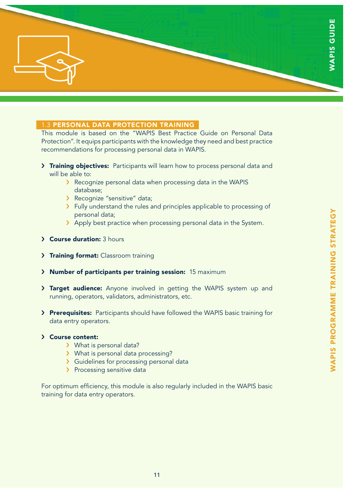

### 1.3 PERSONAL DATA PROTECTION TRAINING

This module is based on the "WAPIS Best Practice Guide on Personal Data Protection". It equips participants with the knowledge they need and best practice recommendations for processing personal data in WAPIS.

- > Training objectives: Participants will learn how to process personal data and will be able to:
	- › Recognize personal data when processing data in the WAPIS database;
	- › Recognize "sensitive" data;
	- > Fully understand the rules and principles applicable to processing of personal data;
	- > Apply best practice when processing personal data in the System.
- › Course duration: 3 hours
- > Training format: Classroom training
- › Number of participants per training session: 15 maximum
- > Target audience: Anyone involved in getting the WAPIS system up and running, operators, validators, administrators, etc.
- › Prerequisites: Participants should have followed the WAPIS basic training for data entry operators.

#### › Course content:

- › What is personal data?
- › What is personal data processing?
- › Guidelines for processing personal data
- > Processing sensitive data

For optimum efficiency, this module is also regularly included in the WAPIS basic training for data entry operators.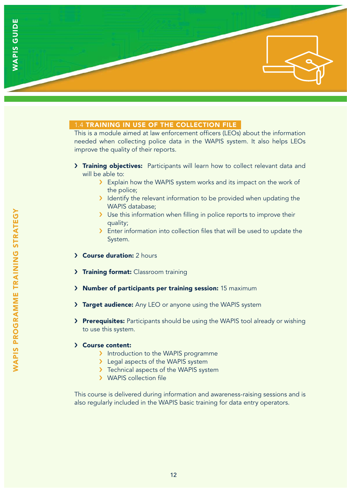

### 1.4 TRAINING IN USE OF THE COLLECTION FILE

This is a module aimed at law enforcement officers (LEOs) about the information needed when collecting police data in the WAPIS system. It also helps LEOs improve the quality of their reports.

- > Training objectives: Participants will learn how to collect relevant data and will be able to:
	- > Explain how the WAPIS system works and its impact on the work of the police;
	- > Identify the relevant information to be provided when updating the WAPIS database;
	- > Use this information when filling in police reports to improve their quality;
	- > Enter information into collection files that will be used to update the System.
- › Course duration: 2 hours
- > Training format: Classroom training
- › Number of participants per training session: 15 maximum
- > Target audience: Any LEO or anyone using the WAPIS system
- > Prerequisites: Participants should be using the WAPIS tool already or wishing to use this system.

#### › Course content:

- > Introduction to the WAPIS programme
- > Legal aspects of the WAPIS system
- > Technical aspects of the WAPIS system
- › WAPIS collection file

This course is delivered during information and awareness-raising sessions and is also regularly included in the WAPIS basic training for data entry operators.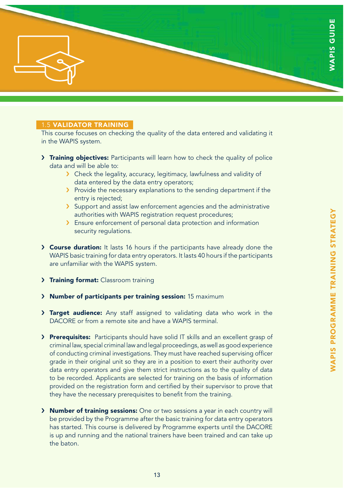## 1.5 VALIDATOR TRAINING

This course focuses on checking the quality of the data entered and validating it in the WAPIS system.

- > Training objectives: Participants will learn how to check the quality of police data and will be able to:
	- › Check the legality, accuracy, legitimacy, lawfulness and validity of data entered by the data entry operators;
	- > Provide the necessary explanations to the sending department if the entry is rejected;
	- › Support and assist law enforcement agencies and the administrative authorities with WAPIS registration request procedures;
	- › Ensure enforcement of personal data protection and information security regulations.
- › Course duration: It lasts 16 hours if the participants have already done the WAPIS basic training for data entry operators. It lasts 40 hours if the participants are unfamiliar with the WAPIS system.
- > Training format: Classroom training
- › Number of participants per training session: 15 maximum
- > Target audience: Any staff assigned to validating data who work in the DACORE or from a remote site and have a WAPIS terminal.
- > Prerequisites: Participants should have solid IT skills and an excellent grasp of criminal law, special criminal law and legal proceedings, as well as good experience of conducting criminal investigations. They must have reached supervising officer grade in their original unit so they are in a position to exert their authority over data entry operators and give them strict instructions as to the quality of data to be recorded. Applicants are selected for training on the basis of information provided on the registration form and certified by their supervisor to prove that they have the necessary prerequisites to benefit from the training.
- › Number of training sessions: One or two sessions a year in each country will be provided by the Programme after the basic training for data entry operators has started. This course is delivered by Programme experts until the DACORE is up and running and the national trainers have been trained and can take up the baton.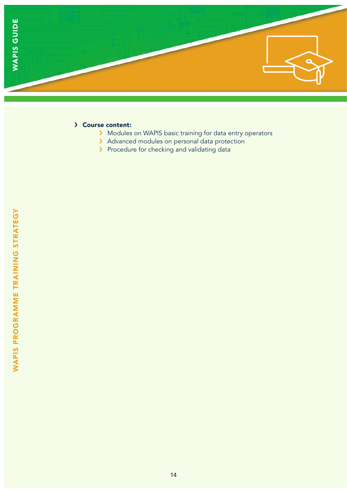

# › Course content:

- › Modules on WAPIS basic training for data entry operators
- › Advanced modules on personal data protection
- > Procedure for checking and validating data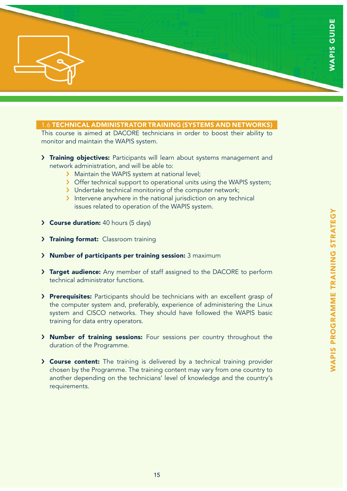

### 1.6 TECHNICAL ADMINISTRATOR TRAINING (SYSTEMS AND NETWORKS)

This course is aimed at DACORE technicians in order to boost their ability to monitor and maintain the WAPIS system.

- > Training objectives: Participants will learn about systems management and network administration, and will be able to:
	- > Maintain the WAPIS system at national level;
	- › Offer technical support to operational units using the WAPIS system;
	- › Undertake technical monitoring of the computer network;
	- › Intervene anywhere in the national jurisdiction on any technical issues related to operation of the WAPIS system.
- › Course duration: 40 hours (5 days)
- > Training format: Classroom training
- › Number of participants per training session: 3 maximum
- > Target audience: Any member of staff assigned to the DACORE to perform technical administrator functions.
- > Prerequisites: Participants should be technicians with an excellent grasp of the computer system and, preferably, experience of administering the Linux system and CISCO networks. They should have followed the WAPIS basic training for data entry operators.
- › Number of training sessions: Four sessions per country throughout the duration of the Programme.
- › Course content: The training is delivered by a technical training provider chosen by the Programme. The training content may vary from one country to another depending on the technicians' level of knowledge and the country's requirements.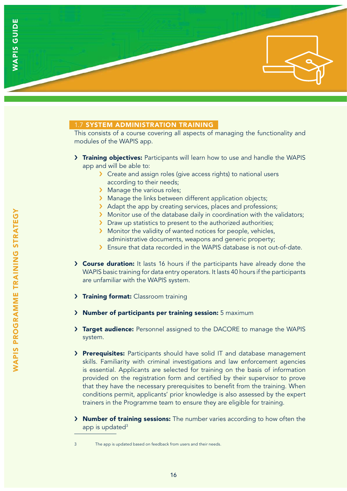# 1.7 SYSTEM ADMINISTRATION TRAINING

This consists of a course covering all aspects of managing the functionality and modules of the WAPIS app.

- > Training objectives: Participants will learn how to use and handle the WAPIS app and will be able to:
	- › Create and assign roles (give access rights) to national users according to their needs;
	- > Manage the various roles;
	- > Manage the links between different application objects;
	- > Adapt the app by creating services, places and professions;
	- › Monitor use of the database daily in coordination with the validators;
	- > Draw up statistics to present to the authorized authorities;
	- › Monitor the validity of wanted notices for people, vehicles, administrative documents, weapons and generic property;
	- › Ensure that data recorded in the WAPIS database is not out-of-date.
- › Course duration: It lasts 16 hours if the participants have already done the WAPIS basic training for data entry operators. It lasts 40 hours if the participants are unfamiliar with the WAPIS system.
- > Training format: Classroom training
- › Number of participants per training session: 5 maximum
- > Target audience: Personnel assigned to the DACORE to manage the WAPIS system.
- > Prerequisites: Participants should have solid IT and database management skills. Familiarity with criminal investigations and law enforcement agencies is essential. Applicants are selected for training on the basis of information provided on the registration form and certified by their supervisor to prove that they have the necessary prerequisites to benefit from the training. When conditions permit, applicants' prior knowledge is also assessed by the expert trainers in the Programme team to ensure they are eligible for training.
- › Number of training sessions: The number varies according to how often the app is updated<sup>3</sup>

WAPIS PROGRAMME TRAINING STRATEGY

WAPIS PROGRAMME TRAINING STRATEGY

<sup>3</sup> The app is updated based on feedback from users and their needs.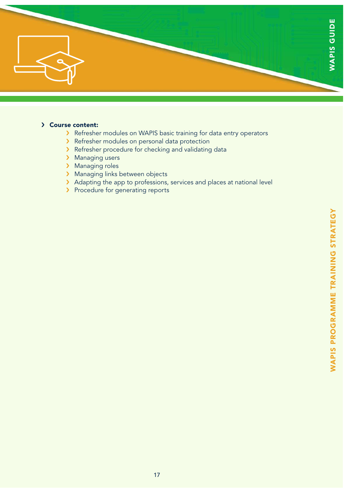

### › Course content:

- › Refresher modules on WAPIS basic training for data entry operators
- › Refresher modules on personal data protection
- › Refresher procedure for checking and validating data
- > Managing users
- > Managing roles
- > Managing links between objects
- › Adapting the app to professions, services and places at national level
- > Procedure for generating reports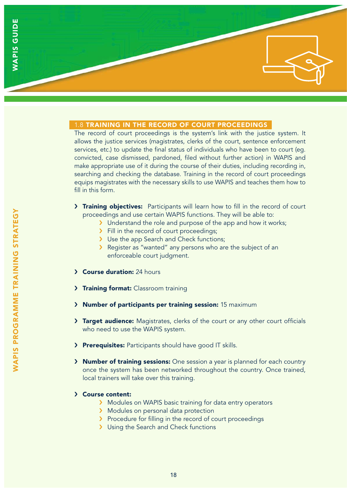### 1.8 TRAINING IN THE RECORD OF COURT PROCEEDINGS

The record of court proceedings is the system's link with the justice system. It allows the justice services (magistrates, clerks of the court, sentence enforcement services, etc.) to update the final status of individuals who have been to court (eg. convicted, case dismissed, pardoned, filed without further action) in WAPIS and make appropriate use of it during the course of their duties, including recording in, searching and checking the database. Training in the record of court proceedings equips magistrates with the necessary skills to use WAPIS and teaches them how to fill in this form.

- > Training objectives: Participants will learn how to fill in the record of court proceedings and use certain WAPIS functions. They will be able to:
	- If Understand the role and purpose of the app and how it works;
	- > Fill in the record of court proceedings;
	- > Use the app Search and Check functions;
	- › Register as "wanted" any persons who are the subject of an enforceable court judgment.
- › Course duration: 24 hours
- > Training format: Classroom training
- › Number of participants per training session: 15 maximum
- > Target audience: Magistrates, clerks of the court or any other court officials who need to use the WAPIS system.
- > Prerequisites: Participants should have good IT skills.
- › Number of training sessions: One session a year is planned for each country once the system has been networked throughout the country. Once trained, local trainers will take over this training.
- › Course content:
	- › Modules on WAPIS basic training for data entry operators
	- > Modules on personal data protection
	- › Procedure for filling in the record of court proceedings
	- > Using the Search and Check functions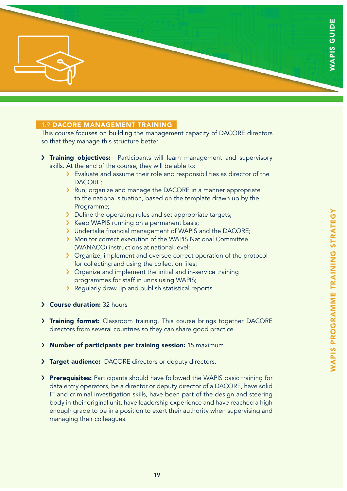

### 1.9 DACORE MANAGEMENT TRAINING

This course focuses on building the management capacity of DACORE directors so that they manage this structure better.

- > Training objectives: Participants will learn management and supervisory skills. At the end of the course, they will be able to:
	- › Evaluate and assume their role and responsibilities as director of the DACORE;
	- › Run, organize and manage the DACORE in a manner appropriate to the national situation, based on the template drawn up by the Programme;
	- › Define the operating rules and set appropriate targets;
	- › Keep WAPIS running on a permanent basis;
	- › Undertake financial management of WAPIS and the DACORE;
	- › Monitor correct execution of the WAPIS National Committee (WANACO) instructions at national level;
	- > Organize, implement and oversee correct operation of the protocol for collecting and using the collection files;
	- › Organize and implement the initial and in-service training programmes for staff in units using WAPIS;
	- › Regularly draw up and publish statistical reports.
- › Course duration: 32 hours
- > Training format: Classroom training. This course brings together DACORE directors from several countries so they can share good practice.
- › Number of participants per training session: 15 maximum
- > Target audience: DACORE directors or deputy directors.
- > Prerequisites: Participants should have followed the WAPIS basic training for data entry operators, be a director or deputy director of a DACORE, have solid IT and criminal investigation skills, have been part of the design and steering body in their original unit, have leadership experience and have reached a high enough grade to be in a position to exert their authority when supervising and managing their colleagues.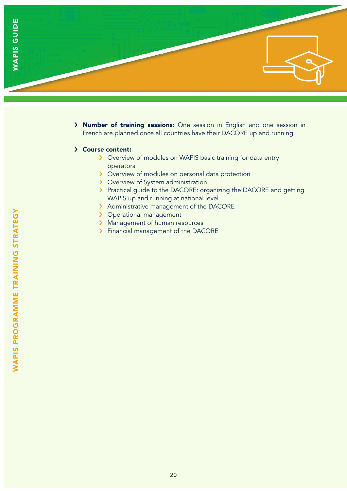

› Number of training sessions: One session in English and one session in French are planned once all countries have their DACORE up and running.

#### › Course content:

- › Overview of modules on WAPIS basic training for data entry operators
- › Overview of modules on personal data protection
- > Overview of System administration
- › Practical guide to the DACORE: organizing the DACORE and getting WAPIS up and running at national level
- > Administrative management of the DACORE
- > Operational management
- > Management of human resources
- › Financial management of the DACORE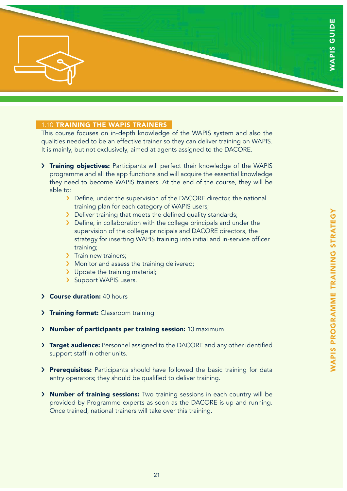

### 1.10 TRAINING THE WAPIS TRAINERS

This course focuses on in-depth knowledge of the WAPIS system and also the qualities needed to be an effective trainer so they can deliver training on WAPIS. It is mainly, but not exclusively, aimed at agents assigned to the DACORE.

- > Training objectives: Participants will perfect their knowledge of the WAPIS programme and all the app functions and will acquire the essential knowledge they need to become WAPIS trainers. At the end of the course, they will be able to:
	- > Define, under the supervision of the DACORE director, the national training plan for each category of WAPIS users;
	- › Deliver training that meets the defined quality standards;
	- > Define, in collaboration with the college principals and under the supervision of the college principals and DACORE directors, the strategy for inserting WAPIS training into initial and in-service officer training;
	- > Train new trainers;
	- > Monitor and assess the training delivered;
	- > Update the training material;
	- > Support WAPIS users.
- › Course duration: 40 hours
- > Training format: Classroom training
- › Number of participants per training session: 10 maximum
- > Target audience: Personnel assigned to the DACORE and any other identified support staff in other units.
- > Prerequisites: Participants should have followed the basic training for data entry operators; they should be qualified to deliver training.
- › Number of training sessions: Two training sessions in each country will be provided by Programme experts as soon as the DACORE is up and running. Once trained, national trainers will take over this training.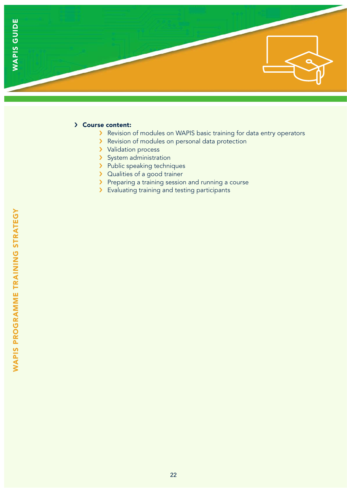

### › Course content:

- › Revision of modules on WAPIS basic training for data entry operators
- › Revision of modules on personal data protection
- > Validation process
- > System administration
- > Public speaking techniques
- > Qualities of a good trainer
- › Preparing a training session and running a course
- › Evaluating training and testing participants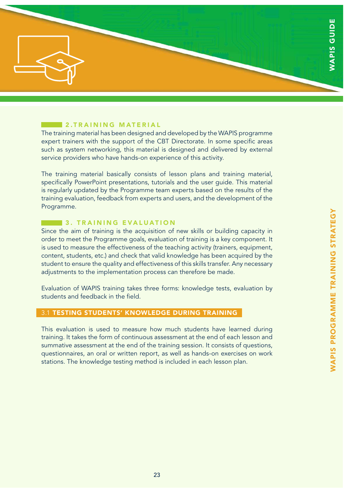

## 2.TRAINING MATERIAL

The training material has been designed and developed by the WAPIS programme expert trainers with the support of the CBT Directorate. In some specific areas such as system networking, this material is designed and delivered by external service providers who have hands-on experience of this activity.

The training material basically consists of lesson plans and training material, specifically PowerPoint presentations, tutorials and the user guide. This material is regularly updated by the Programme team experts based on the results of the training evaluation, feedback from experts and users, and the development of the Programme.

### **3. TRAINING EVALUATION**

Since the aim of training is the acquisition of new skills or building capacity in order to meet the Programme goals, evaluation of training is a key component. It is used to measure the effectiveness of the teaching activity (trainers, equipment, content, students, etc.) and check that valid knowledge has been acquired by the student to ensure the quality and effectiveness of this skills transfer. Any necessary adjustments to the implementation process can therefore be made.

Evaluation of WAPIS training takes three forms: knowledge tests, evaluation by students and feedback in the field.

# 3.1 TESTING STUDENTS' KNOWLEDGE DURING TRAINING

This evaluation is used to measure how much students have learned during training. It takes the form of continuous assessment at the end of each lesson and summative assessment at the end of the training session. It consists of questions, questionnaires, an oral or written report, as well as hands-on exercises on work stations. The knowledge testing method is included in each lesson plan.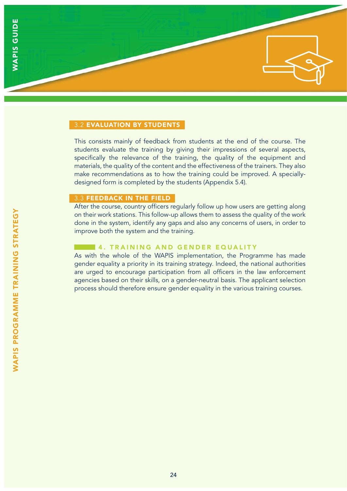### 3.2 EVALUATION BY STUDENTS

This consists mainly of feedback from students at the end of the course. The students evaluate the training by giving their impressions of several aspects, specifically the relevance of the training, the quality of the equipment and materials, the quality of the content and the effectiveness of the trainers. They also make recommendations as to how the training could be improved. A speciallydesigned form is completed by the students (Appendix 5.4).

#### 3.3 FEEDBACK IN THE FIELD

After the course, country officers regularly follow up how users are getting along on their work stations. This follow-up allows them to assess the quality of the work done in the system, identify any gaps and also any concerns of users, in order to improve both the system and the training.

### **4. TRAINING AND GENDER EQUALITY**

As with the whole of the WAPIS implementation, the Programme has made gender equality a priority in its training strategy. Indeed, the national authorities are urged to encourage participation from all officers in the law enforcement agencies based on their skills, on a gender-neutral basis. The applicant selection process should therefore ensure gender equality in the various training courses.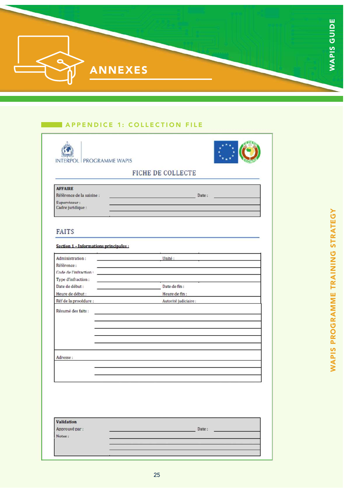|                | ш<br>Δ<br>▄                     |
|----------------|---------------------------------|
|                | 5<br>$\mathbf C$<br><b>Sec.</b> |
| <b>ANNEXES</b> |                                 |
|                |                                 |

# A P P E N D I C E 1: COLLECTION FILE

|                                                                                            | FICHE DE COLLECTE                      |
|--------------------------------------------------------------------------------------------|----------------------------------------|
| <b>AFFAIRE</b><br>Référence de la saisine :<br>Superviseur:<br>Cadre juridique :           | <u>Date</u> :                          |
| <b>FAITS</b>                                                                               |                                        |
| Section 1 - Informations principales :                                                     |                                        |
| Administration:<br>the control of the control of the control of the<br>Référence :         | Unité :                                |
| Type d'infraction :<br>the control of the control of the control of the<br>Date de début : | Date de fin :                          |
| Heure de début :<br>Réf de la procédure :                                                  | Heure de fin:<br>Autorité judiciaire : |
| Résumé des faits :                                                                         |                                        |
| Adresse:                                                                                   |                                        |
|                                                                                            |                                        |
|                                                                                            |                                        |
| <b>Validation</b><br>Approuvé par :                                                        | Date:                                  |
| Notes:                                                                                     |                                        |
|                                                                                            |                                        |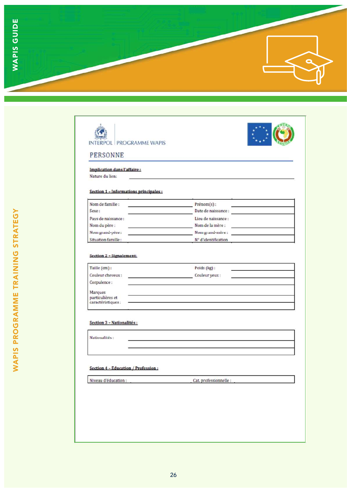





### PERSONNE

### Implication dans l'affaire:

Nature du lien:

#### Section 1 - Informations principales :

| Nom de famille :    | $Prénom(s)$ :       |  |
|---------------------|---------------------|--|
| Sexe:               | Date de naissance : |  |
| Pays de naissance : | Lieu de naissance : |  |
| Nom du père :       | Nom de la mère :    |  |
| Nom grand-père :    | Nom grand-mère :    |  |
| Situation famille:  | N° d'identification |  |

#### Section 2 - Signalement:

| Taille (cm):                                      | Poids (kg):    |  |
|---------------------------------------------------|----------------|--|
| Couleur cheveux:                                  | Couleur yeux : |  |
| Corpulence:                                       |                |  |
|                                                   |                |  |
| Marques<br>particulières et<br>caractéristiques : |                |  |
|                                                   |                |  |

#### Section 3 - Nationalités:

Nationalités :

#### Section 4 - Education / Profession:

Niveau d'éducation :

Cat. professionnelle :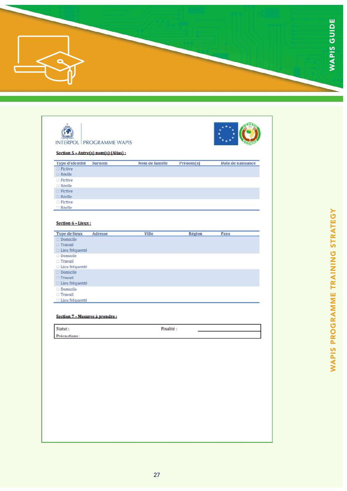

| <b>Fictive</b><br><b>El Réelle</b><br>$\Box$ Fictive<br><b>Réelle</b><br>$\Box$ Fictive<br>Réelle<br><b>Fictive</b><br>$\Box$ $R\delta\rho$ lle<br>Section 6 - Lieux:<br><b>Type de lieux</b><br>Adresse<br>Ville<br>Région<br>Pays<br><b>Domicile</b><br>Travall<br><b>Lieu fréquenté</b><br><b>Domicile</b><br>$\Box$ Travail<br>$\Box$ Licu fréquenté<br><b>Domicile</b><br><b>Travail</b><br><b>El Lieu fréquenté</b><br><b>Domicile</b><br><b>Travail</b><br>Lieu fréquenté<br>Section 7 - Mesures à prendre:<br>Finalité :<br>Statut:<br>Précautions : |  |
|--------------------------------------------------------------------------------------------------------------------------------------------------------------------------------------------------------------------------------------------------------------------------------------------------------------------------------------------------------------------------------------------------------------------------------------------------------------------------------------------------------------------------------------------------------------|--|
|                                                                                                                                                                                                                                                                                                                                                                                                                                                                                                                                                              |  |
|                                                                                                                                                                                                                                                                                                                                                                                                                                                                                                                                                              |  |
|                                                                                                                                                                                                                                                                                                                                                                                                                                                                                                                                                              |  |
|                                                                                                                                                                                                                                                                                                                                                                                                                                                                                                                                                              |  |
|                                                                                                                                                                                                                                                                                                                                                                                                                                                                                                                                                              |  |
|                                                                                                                                                                                                                                                                                                                                                                                                                                                                                                                                                              |  |
|                                                                                                                                                                                                                                                                                                                                                                                                                                                                                                                                                              |  |
|                                                                                                                                                                                                                                                                                                                                                                                                                                                                                                                                                              |  |
|                                                                                                                                                                                                                                                                                                                                                                                                                                                                                                                                                              |  |
|                                                                                                                                                                                                                                                                                                                                                                                                                                                                                                                                                              |  |
|                                                                                                                                                                                                                                                                                                                                                                                                                                                                                                                                                              |  |
|                                                                                                                                                                                                                                                                                                                                                                                                                                                                                                                                                              |  |
|                                                                                                                                                                                                                                                                                                                                                                                                                                                                                                                                                              |  |
|                                                                                                                                                                                                                                                                                                                                                                                                                                                                                                                                                              |  |
|                                                                                                                                                                                                                                                                                                                                                                                                                                                                                                                                                              |  |
|                                                                                                                                                                                                                                                                                                                                                                                                                                                                                                                                                              |  |
|                                                                                                                                                                                                                                                                                                                                                                                                                                                                                                                                                              |  |
|                                                                                                                                                                                                                                                                                                                                                                                                                                                                                                                                                              |  |
|                                                                                                                                                                                                                                                                                                                                                                                                                                                                                                                                                              |  |
|                                                                                                                                                                                                                                                                                                                                                                                                                                                                                                                                                              |  |
|                                                                                                                                                                                                                                                                                                                                                                                                                                                                                                                                                              |  |
|                                                                                                                                                                                                                                                                                                                                                                                                                                                                                                                                                              |  |
|                                                                                                                                                                                                                                                                                                                                                                                                                                                                                                                                                              |  |
|                                                                                                                                                                                                                                                                                                                                                                                                                                                                                                                                                              |  |
|                                                                                                                                                                                                                                                                                                                                                                                                                                                                                                                                                              |  |
|                                                                                                                                                                                                                                                                                                                                                                                                                                                                                                                                                              |  |
|                                                                                                                                                                                                                                                                                                                                                                                                                                                                                                                                                              |  |
|                                                                                                                                                                                                                                                                                                                                                                                                                                                                                                                                                              |  |
|                                                                                                                                                                                                                                                                                                                                                                                                                                                                                                                                                              |  |
|                                                                                                                                                                                                                                                                                                                                                                                                                                                                                                                                                              |  |
|                                                                                                                                                                                                                                                                                                                                                                                                                                                                                                                                                              |  |
|                                                                                                                                                                                                                                                                                                                                                                                                                                                                                                                                                              |  |
|                                                                                                                                                                                                                                                                                                                                                                                                                                                                                                                                                              |  |
|                                                                                                                                                                                                                                                                                                                                                                                                                                                                                                                                                              |  |
|                                                                                                                                                                                                                                                                                                                                                                                                                                                                                                                                                              |  |
|                                                                                                                                                                                                                                                                                                                                                                                                                                                                                                                                                              |  |
|                                                                                                                                                                                                                                                                                                                                                                                                                                                                                                                                                              |  |
|                                                                                                                                                                                                                                                                                                                                                                                                                                                                                                                                                              |  |
|                                                                                                                                                                                                                                                                                                                                                                                                                                                                                                                                                              |  |
|                                                                                                                                                                                                                                                                                                                                                                                                                                                                                                                                                              |  |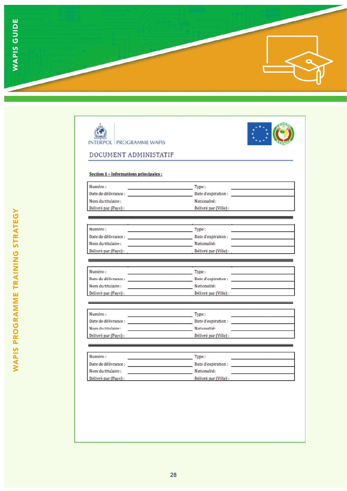





### DOCUMENT ADMINISTATIF

#### Section 1 - Informations principales :

| Numéro:              | Type:                 |  |
|----------------------|-----------------------|--|
| Date de délivrance : | Date d'expiration :   |  |
| Nom du titulaire :   | Nationalité:          |  |
| Délivré par (Pays) : | Délivré par (Ville) : |  |

| Numéro:              | Type:                 |  |
|----------------------|-----------------------|--|
| Date de délivrance : | Date d'expiration :   |  |
| Nom du titulaire:    | Nationalité:          |  |
| Délivré par (Pays) : | Délivré par (Ville) : |  |

| Numéro:              | Type:                 |  |
|----------------------|-----------------------|--|
| Date de délivrance : | Date d'expiration:    |  |
| Nom du titulaire :   | Nationalité:          |  |
| Délivré par (Pays) : | Délivré par (Ville) : |  |

| Numéro:              | Type:                 |  |
|----------------------|-----------------------|--|
| Date de délivrance : | Date d'expiration :   |  |
| Nom du titulaire :   | Nationalité:          |  |
| Délivré par (Pays) : | Délivré par (Ville) : |  |

| Numéro:              | Type:                 |  |
|----------------------|-----------------------|--|
| Date de délivrance : | Date d'expiration :   |  |
| Nom du titulaire :   | Nationalité:          |  |
| Délivré par (Pays) : | Délivré par (Ville) : |  |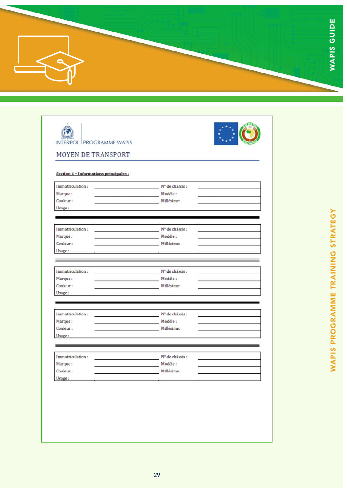| п            |
|--------------|
| -<br>U<br>ŁΛ |
|              |

| Section 1 - Informations principales: |                                                                                                                        |  |
|---------------------------------------|------------------------------------------------------------------------------------------------------------------------|--|
| Immatriculation:                      | N° de chassis :                                                                                                        |  |
| Marque:                               | Modèle:                                                                                                                |  |
| Couleur:                              | Millésime:                                                                                                             |  |
| Usage:                                |                                                                                                                        |  |
|                                       | <u> La componenta de la componenta de la componenta de la componenta de la componenta de la componenta de la compo</u> |  |
|                                       |                                                                                                                        |  |
| Immatriculation:                      | N° de châssis :                                                                                                        |  |
| Marque:                               | Modèle:                                                                                                                |  |
| Couleur:                              | Millésimer                                                                                                             |  |
| Usage:                                |                                                                                                                        |  |
|                                       |                                                                                                                        |  |
| Immatriculation:                      | N° de châssis :                                                                                                        |  |
| Marque:                               | Modèle :                                                                                                               |  |
| Couleur:                              | Millésime:                                                                                                             |  |
| Usage:                                |                                                                                                                        |  |
|                                       |                                                                                                                        |  |
|                                       |                                                                                                                        |  |
| Immatriculation:                      | N° de châssis :<br>Modèle:                                                                                             |  |
| Marque:<br>Couleur:                   | Millésime:                                                                                                             |  |
| Usage:                                |                                                                                                                        |  |
|                                       |                                                                                                                        |  |
|                                       |                                                                                                                        |  |
| Immatriculation:                      | N° de châssis :                                                                                                        |  |
| Marque:                               | Modèle:                                                                                                                |  |
| Couleur:                              | Millésime:                                                                                                             |  |
| Usage:                                |                                                                                                                        |  |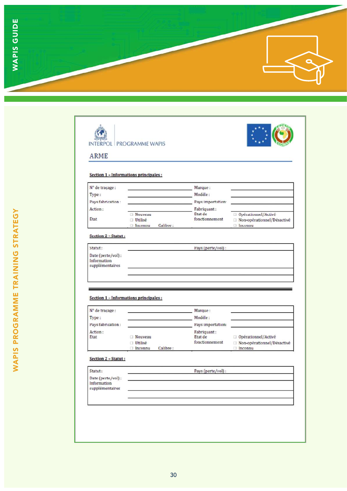

|                                  | Section 1 - Informations principales : |                           |                                                   |
|----------------------------------|----------------------------------------|---------------------------|---------------------------------------------------|
| N° de traçage :                  |                                        | Marque:                   |                                                   |
| Type:                            |                                        | Modèle:                   |                                                   |
| Pays fabrication:                |                                        | Pays importation:         |                                                   |
| Action:                          |                                        | Fabriquant:               |                                                   |
| Etat                             | <b>Nuuveau</b><br><b>Utilisé</b>       | Etat de<br>fonctionnement | Opérationnel/Activé<br>Non-opérationnel/Désactivé |
|                                  | $\Box$ Incounu<br>Calibre:             |                           | <b>Inconnu</b>                                    |
| Section 2 - Statut:              |                                        |                           |                                                   |
| Statut:                          |                                        | Pays (perte/vol):         |                                                   |
| Date (perte/vol):                |                                        |                           |                                                   |
| Information<br>supplémentaires   |                                        |                           |                                                   |
|                                  | Section 1 - Informations principales : |                           |                                                   |
|                                  |                                        | Marque:                   |                                                   |
| N° de traçage :<br>Type:         |                                        | Modèle:                   |                                                   |
|                                  |                                        | Pays importation:         |                                                   |
| Pays fabrication:<br>Action:     |                                        | Fabriquant:               |                                                   |
| Etat                             | Nouveau                                | Etat de<br>fonctionnement | Opérationnel/Activé                               |
|                                  | <b>Utilisé</b><br>Inconnu<br>Calibre:  |                           | □ Non-opérationnel/Désactivé<br>nconnu            |
| Section 2 - Statut:              |                                        |                           |                                                   |
| Statut:                          |                                        | Pays (perte/vol):         |                                                   |
| Date (perte/vol):<br>Information |                                        |                           |                                                   |
| supplémentaires                  |                                        |                           |                                                   |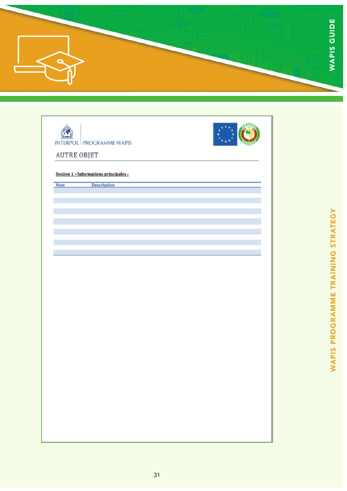

| INTERPOL PROGRAMME WAPIS               |  |
|----------------------------------------|--|
| <b>AUTRE OBJET</b>                     |  |
| Section 1 - Informations principales : |  |
| Description<br><b>Nom</b>              |  |
|                                        |  |
|                                        |  |
|                                        |  |
|                                        |  |
|                                        |  |
|                                        |  |
|                                        |  |
|                                        |  |
|                                        |  |
|                                        |  |
|                                        |  |
|                                        |  |
|                                        |  |
|                                        |  |
|                                        |  |
|                                        |  |
|                                        |  |
|                                        |  |
|                                        |  |
|                                        |  |
|                                        |  |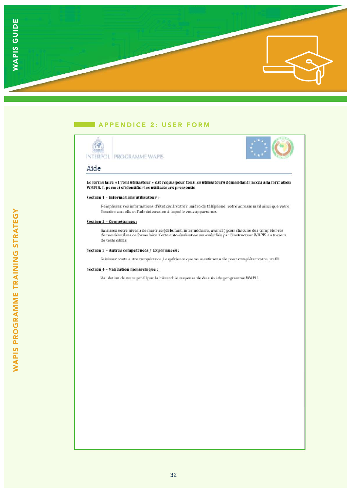

### APPENDICE 2: USER FORM





#### Aide

Le formulaire « Profil utilisateur » est requis pour tous les utilisateurs demandant l'accès à la formation WAPIS. Il permet d'identifier les utilisateurs pressentis

#### Section 1 - Informations utilisateur :

Remplissez vos informations d'état civil, votre numéro de téléphone, votre adresse mail ainsi que votre fonction actuelle et l'administration à laquelle vous appartenez.

#### Section 2 - Compétences :

Saisissez votre niveau de maitrise (débutant, intermédiaire, avancé) pour chacune des compétences demandées dans ce formulaire. Cette auto-évaluation sera vérifiée par l'instructeur WAPIS au travers de tests cibiés.

#### Section 3 - Autres compétences / Expériences ;

Saisissez toute autre compétence / expérience que vous estimez utile pour compléter votre profil.

#### Section 4 - Validation hiérarchique:

Validation de votre profil par la hiérarchie responsable du suivi du programme WAPIS.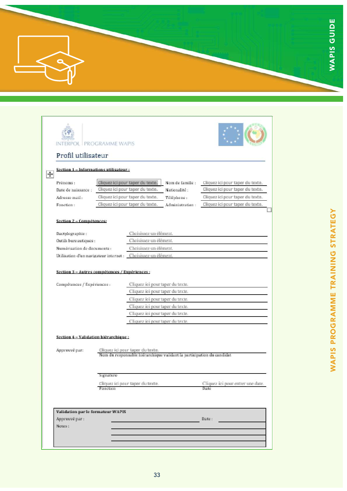|  | πη<br>◠<br>$\sim$ |
|--|-------------------|
|  | ∍<br>O<br>ഗ       |
|  |                   |

| Profil utilisateur<br>Section 1 - Informations utilisateur ;<br>┿<br>Cliquez ici pour taper du texte.<br>Prénoms:<br>Nom de famille :<br>Cliquez ici pour taper du texte.<br>Cliquez ici pour taper du texte.<br>Cliquez ici pour taper du texte.<br>Nationalité :<br>Date de naissance :<br>Cliquez ici pour taper du texte.<br>Cliquez ici pour taper du texte.<br>Adresse mail:<br>Téléphone:<br>Cliquez ici pour taper du texte.<br>Cliquez i ci pour taper du texte.<br>Fonction:<br>Administration:<br>Section 2 - Compétences;<br>Choisissez un élément.<br>Dactylographie:<br>Choisissez un élément.<br>Outils bureautiques :<br>Choisissez un élément.<br>Numérisation de documents :<br>Utilisation d'un navigateur internet : Choisissez un élément.<br>Section 3 - Autres commétences / Exnériences ;<br>Cliquez ici pour taper du texte.<br>Compétences / Expériences :<br>Cliquez ici pour taper du texte.<br>Cliquez ici pour taper du texte.<br>Cliquez ici pour taper du texte.<br>Cliquez ici pour taper du texte.<br>Cliquez ici pour taper du texte.<br>Section 4 - Validation hiérarchique : |  |
|-------------------------------------------------------------------------------------------------------------------------------------------------------------------------------------------------------------------------------------------------------------------------------------------------------------------------------------------------------------------------------------------------------------------------------------------------------------------------------------------------------------------------------------------------------------------------------------------------------------------------------------------------------------------------------------------------------------------------------------------------------------------------------------------------------------------------------------------------------------------------------------------------------------------------------------------------------------------------------------------------------------------------------------------------------------------------------------------------------------------|--|
|                                                                                                                                                                                                                                                                                                                                                                                                                                                                                                                                                                                                                                                                                                                                                                                                                                                                                                                                                                                                                                                                                                                   |  |
|                                                                                                                                                                                                                                                                                                                                                                                                                                                                                                                                                                                                                                                                                                                                                                                                                                                                                                                                                                                                                                                                                                                   |  |
|                                                                                                                                                                                                                                                                                                                                                                                                                                                                                                                                                                                                                                                                                                                                                                                                                                                                                                                                                                                                                                                                                                                   |  |
|                                                                                                                                                                                                                                                                                                                                                                                                                                                                                                                                                                                                                                                                                                                                                                                                                                                                                                                                                                                                                                                                                                                   |  |
|                                                                                                                                                                                                                                                                                                                                                                                                                                                                                                                                                                                                                                                                                                                                                                                                                                                                                                                                                                                                                                                                                                                   |  |
|                                                                                                                                                                                                                                                                                                                                                                                                                                                                                                                                                                                                                                                                                                                                                                                                                                                                                                                                                                                                                                                                                                                   |  |
|                                                                                                                                                                                                                                                                                                                                                                                                                                                                                                                                                                                                                                                                                                                                                                                                                                                                                                                                                                                                                                                                                                                   |  |
|                                                                                                                                                                                                                                                                                                                                                                                                                                                                                                                                                                                                                                                                                                                                                                                                                                                                                                                                                                                                                                                                                                                   |  |
|                                                                                                                                                                                                                                                                                                                                                                                                                                                                                                                                                                                                                                                                                                                                                                                                                                                                                                                                                                                                                                                                                                                   |  |
|                                                                                                                                                                                                                                                                                                                                                                                                                                                                                                                                                                                                                                                                                                                                                                                                                                                                                                                                                                                                                                                                                                                   |  |
|                                                                                                                                                                                                                                                                                                                                                                                                                                                                                                                                                                                                                                                                                                                                                                                                                                                                                                                                                                                                                                                                                                                   |  |
|                                                                                                                                                                                                                                                                                                                                                                                                                                                                                                                                                                                                                                                                                                                                                                                                                                                                                                                                                                                                                                                                                                                   |  |
|                                                                                                                                                                                                                                                                                                                                                                                                                                                                                                                                                                                                                                                                                                                                                                                                                                                                                                                                                                                                                                                                                                                   |  |
|                                                                                                                                                                                                                                                                                                                                                                                                                                                                                                                                                                                                                                                                                                                                                                                                                                                                                                                                                                                                                                                                                                                   |  |
| Cliquez ici pour taper du texte.<br>Approuvé par:<br>Nom du responsable hiérarchique validant la participation du candidat                                                                                                                                                                                                                                                                                                                                                                                                                                                                                                                                                                                                                                                                                                                                                                                                                                                                                                                                                                                        |  |
| Signature                                                                                                                                                                                                                                                                                                                                                                                                                                                                                                                                                                                                                                                                                                                                                                                                                                                                                                                                                                                                                                                                                                         |  |
| Cliquez ici pour entrer une date.<br>Cliquez ici pour taper du texte.<br>Fonction<br>Date                                                                                                                                                                                                                                                                                                                                                                                                                                                                                                                                                                                                                                                                                                                                                                                                                                                                                                                                                                                                                         |  |
| Validation par le formateur WAPIS                                                                                                                                                                                                                                                                                                                                                                                                                                                                                                                                                                                                                                                                                                                                                                                                                                                                                                                                                                                                                                                                                 |  |
| Approuvé par :<br>Date:                                                                                                                                                                                                                                                                                                                                                                                                                                                                                                                                                                                                                                                                                                                                                                                                                                                                                                                                                                                                                                                                                           |  |
| Notes:                                                                                                                                                                                                                                                                                                                                                                                                                                                                                                                                                                                                                                                                                                                                                                                                                                                                                                                                                                                                                                                                                                            |  |
|                                                                                                                                                                                                                                                                                                                                                                                                                                                                                                                                                                                                                                                                                                                                                                                                                                                                                                                                                                                                                                                                                                                   |  |
|                                                                                                                                                                                                                                                                                                                                                                                                                                                                                                                                                                                                                                                                                                                                                                                                                                                                                                                                                                                                                                                                                                                   |  |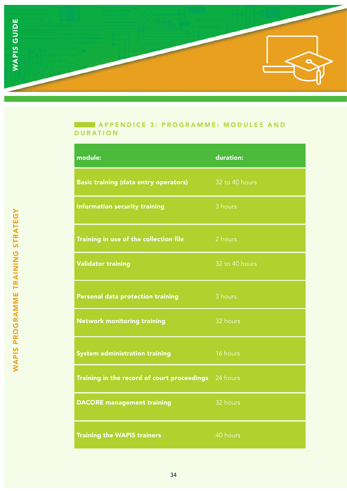

## **A PPENDICE 3: PROGRAMME: MODULES AND** DURATION

| module:                                      | duration:      |
|----------------------------------------------|----------------|
| <b>Basic training (data entry operators)</b> | 32 to 40 hours |
| <b>Information security training</b>         | 3 hours        |
| Training in use of the collection file       | 2 hours        |
| <b>Validator training</b>                    | 32 to 40 hours |
| Personal data protection training            | 3 hours        |
| <b>Network monitoring training</b>           | 32 hours       |
| <b>System administration training</b>        | 16 hours       |
| Training in the record of court proceedings  | 24 hours       |
| <b>DACORE</b> management training            | 32 hours       |
| <b>Training the WAPIS trainers</b>           | 40 hours       |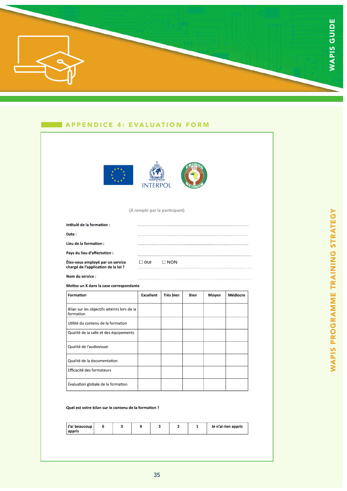

### APPENDICE 4: EVALUATION FORM



#### **Quel est votre bilan sur le contenu de la formaton ?**

Évaluation globale de la formation

| J'ai beaucoup  <br>appris |  |  |  | Je n'ai rien appris |
|---------------------------|--|--|--|---------------------|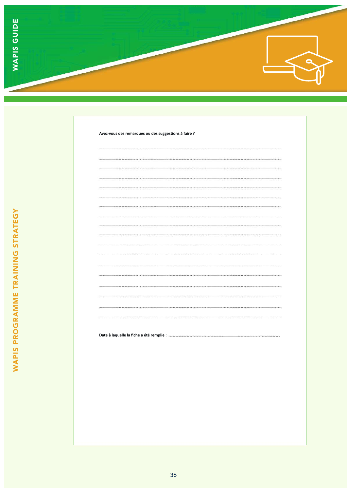

| <del>manonononon'nonononon'nononononam</del>                                                                   |  | mononononommummummumonononon |  |
|----------------------------------------------------------------------------------------------------------------|--|------------------------------|--|
|                                                                                                                |  |                              |  |
|                                                                                                                |  |                              |  |
|                                                                                                                |  |                              |  |
|                                                                                                                |  |                              |  |
|                                                                                                                |  |                              |  |
|                                                                                                                |  |                              |  |
|                                                                                                                |  |                              |  |
|                                                                                                                |  |                              |  |
|                                                                                                                |  |                              |  |
|                                                                                                                |  |                              |  |
|                                                                                                                |  |                              |  |
|                                                                                                                |  |                              |  |
|                                                                                                                |  |                              |  |
|                                                                                                                |  |                              |  |
|                                                                                                                |  |                              |  |
|                                                                                                                |  |                              |  |
|                                                                                                                |  |                              |  |
|                                                                                                                |  |                              |  |
|                                                                                                                |  |                              |  |
| Date à laquelle la fiche a été remplie : Maria Maria Annuncia et al. et al. et al. et al. et al. et al. et al. |  |                              |  |
|                                                                                                                |  |                              |  |
|                                                                                                                |  |                              |  |
|                                                                                                                |  |                              |  |
|                                                                                                                |  |                              |  |
|                                                                                                                |  |                              |  |
|                                                                                                                |  |                              |  |
|                                                                                                                |  |                              |  |
|                                                                                                                |  |                              |  |
|                                                                                                                |  |                              |  |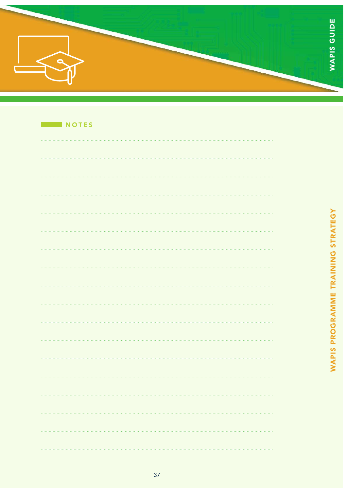| ∽<br>rп |
|---------|
|         |
|         |

| NOTES |  |  |
|-------|--|--|
|       |  |  |
|       |  |  |
|       |  |  |
|       |  |  |
|       |  |  |
|       |  |  |
|       |  |  |
|       |  |  |
|       |  |  |
|       |  |  |
|       |  |  |
|       |  |  |
|       |  |  |
|       |  |  |
|       |  |  |
|       |  |  |